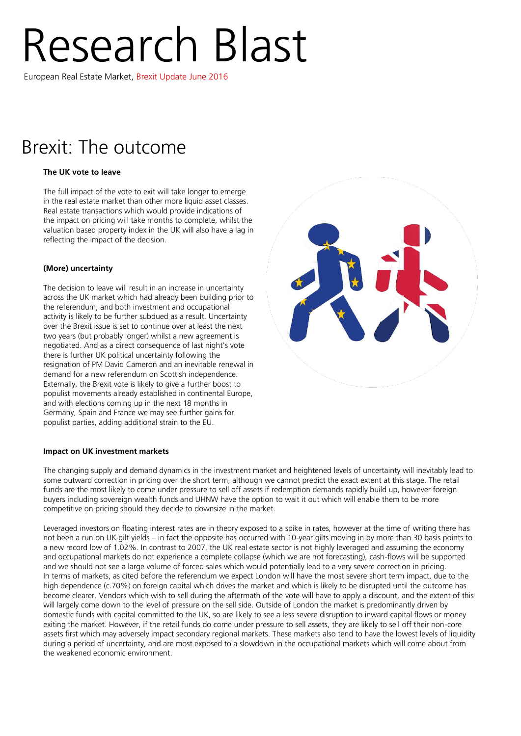# Research Blast

European Real Estate Market, Brexit Update June 2016

## Brexit: The outcome

### **The UK vote to leave**

The full impact of the vote to exit will take longer to emerge in the real estate market than other more liquid asset classes. Real estate transactions which would provide indications of the impact on pricing will take months to complete, whilst the valuation based property index in the UK will also have a lag in reflecting the impact of the decision.

#### **(More) uncertainty**

The decision to leave will result in an increase in uncertainty across the UK market which had already been building prior to the referendum, and both investment and occupational activity is likely to be further subdued as a result. Uncertainty over the Brexit issue is set to continue over at least the next two years (but probably longer) whilst a new agreement is negotiated. And as a direct consequence of last night's vote there is further UK political uncertainty following the resignation of PM David Cameron and an inevitable renewal in demand for a new referendum on Scottish independence. Externally, the Brexit vote is likely to give a further boost to populist movements already established in continental Europe, and with elections coming up in the next 18 months in Germany, Spain and France we may see further gains for populist parties, adding additional strain to the EU.

#### **Impact on UK investment markets**

The changing supply and demand dynamics in the investment market and heightened levels of uncertainty will inevitably lead to some outward correction in pricing over the short term, although we cannot predict the exact extent at this stage. The retail funds are the most likely to come under pressure to sell off assets if redemption demands rapidly build up, however foreign buyers including sovereign wealth funds and UHNW have the option to wait it out which will enable them to be more competitive on pricing should they decide to downsize in the market.

Leveraged investors on floating interest rates are in theory exposed to a spike in rates, however at the time of writing there has not been a run on UK gilt yields – in fact the opposite has occurred with 10-year gilts moving in by more than 30 basis points to a new record low of 1.02%. In contrast to 2007, the UK real estate sector is not highly leveraged and assuming the economy and occupational markets do not experience a complete collapse (which we are not forecasting), cash-flows will be supported and we should not see a large volume of forced sales which would potentially lead to a very severe correction in pricing. In terms of markets, as cited before the referendum we expect London will have the most severe short term impact, due to the high dependence (c.70%) on foreign capital which drives the market and which is likely to be disrupted until the outcome has become clearer. Vendors which wish to sell during the aftermath of the vote will have to apply a discount, and the extent of this will largely come down to the level of pressure on the sell side. Outside of London the market is predominantly driven by domestic funds with capital committed to the UK, so are likely to see a less severe disruption to inward capital flows or money exiting the market. However, if the retail funds do come under pressure to sell assets, they are likely to sell off their non-core assets first which may adversely impact secondary regional markets. These markets also tend to have the lowest levels of liquidity during a period of uncertainty, and are most exposed to a slowdown in the occupational markets which will come about from the weakened economic environment.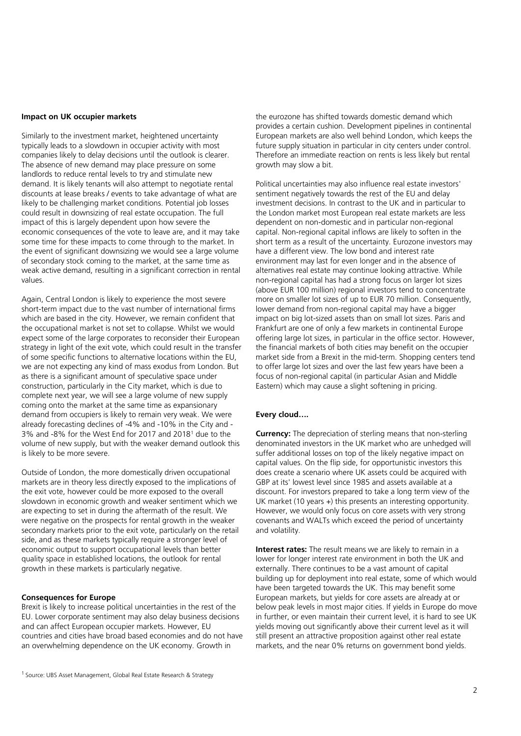#### **Impact on UK occupier markets**

Similarly to the investment market, heightened uncertainty typically leads to a slowdown in occupier activity with most companies likely to delay decisions until the outlook is clearer. The absence of new demand may place pressure on some landlords to reduce rental levels to try and stimulate new demand. It is likely tenants will also attempt to negotiate rental discounts at lease breaks / events to take advantage of what are likely to be challenging market conditions. Potential job losses could result in downsizing of real estate occupation. The full impact of this is largely dependent upon how severe the economic consequences of the vote to leave are, and it may take some time for these impacts to come through to the market. In the event of significant downsizing we would see a large volume of secondary stock coming to the market, at the same time as weak active demand, resulting in a significant correction in rental values.

Again, Central London is likely to experience the most severe short-term impact due to the vast number of international firms which are based in the city. However, we remain confident that the occupational market is not set to collapse. Whilst we would expect some of the large corporates to reconsider their European strategy in light of the exit vote, which could result in the transfer of some specific functions to alternative locations within the EU, we are not expecting any kind of mass exodus from London. But as there is a significant amount of speculative space under construction, particularly in the City market, which is due to complete next year, we will see a large volume of new supply coming onto the market at the same time as expansionary demand from occupiers is likely to remain very weak. We were already forecasting declines of -4% and -10% in the City and - 3% and -8% for the West End for 2017 and 2018<sup>1</sup> due to the volume of new supply, but with the weaker demand outlook this is likely to be more severe.

Outside of London, the more domestically driven occupational markets are in theory less directly exposed to the implications of the exit vote, however could be more exposed to the overall slowdown in economic growth and weaker sentiment which we are expecting to set in during the aftermath of the result. We were negative on the prospects for rental growth in the weaker secondary markets prior to the exit vote, particularly on the retail side, and as these markets typically require a stronger level of economic output to support occupational levels than better quality space in established locations, the outlook for rental growth in these markets is particularly negative.

#### **Consequences for Europe**

Brexit is likely to increase political uncertainties in the rest of the EU. Lower corporate sentiment may also delay business decisions and can affect European occupier markets. However, EU countries and cities have broad based economies and do not have an overwhelming dependence on the UK economy. Growth in

the eurozone has shifted towards domestic demand which provides a certain cushion. Development pipelines in continental European markets are also well behind London, which keeps the future supply situation in particular in city centers under control. Therefore an immediate reaction on rents is less likely but rental growth may slow a bit.

Political uncertainties may also influence real estate investors' sentiment negatively towards the rest of the EU and delay investment decisions. In contrast to the UK and in particular to the London market most European real estate markets are less dependent on non-domestic and in particular non-regional capital. Non-regional capital inflows are likely to soften in the short term as a result of the uncertainty. Eurozone investors may have a different view. The low bond and interest rate environment may last for even longer and in the absence of alternatives real estate may continue looking attractive. While non-regional capital has had a strong focus on larger lot sizes (above EUR 100 million) regional investors tend to concentrate more on smaller lot sizes of up to EUR 70 million. Consequently, lower demand from non-regional capital may have a bigger impact on big lot-sized assets than on small lot sizes. Paris and Frankfurt are one of only a few markets in continental Europe offering large lot sizes, in particular in the office sector. However, the financial markets of both cities may benefit on the occupier market side from a Brexit in the mid-term. Shopping centers tend to offer large lot sizes and over the last few years have been a focus of non-regional capital (in particular Asian and Middle Eastern) which may cause a slight softening in pricing.

#### **Every cloud….**

**Currency:** The depreciation of sterling means that non-sterling denominated investors in the UK market who are unhedged will suffer additional losses on top of the likely negative impact on capital values. On the flip side, for opportunistic investors this does create a scenario where UK assets could be acquired with GBP at its' lowest level since 1985 and assets available at a discount. For investors prepared to take a long term view of the UK market (10 years +) this presents an interesting opportunity. However, we would only focus on core assets with very strong covenants and WALTs which exceed the period of uncertainty and volatility.

**Interest rates:** The result means we are likely to remain in a lower for longer interest rate environment in both the UK and externally. There continues to be a vast amount of capital building up for deployment into real estate, some of which would have been targeted towards the UK. This may benefit some European markets, but yields for core assets are already at or below peak levels in most major cities. If yields in Europe do move in further, or even maintain their current level, it is hard to see UK yields moving out significantly above their current level as it will still present an attractive proposition against other real estate markets, and the near 0% returns on government bond yields.